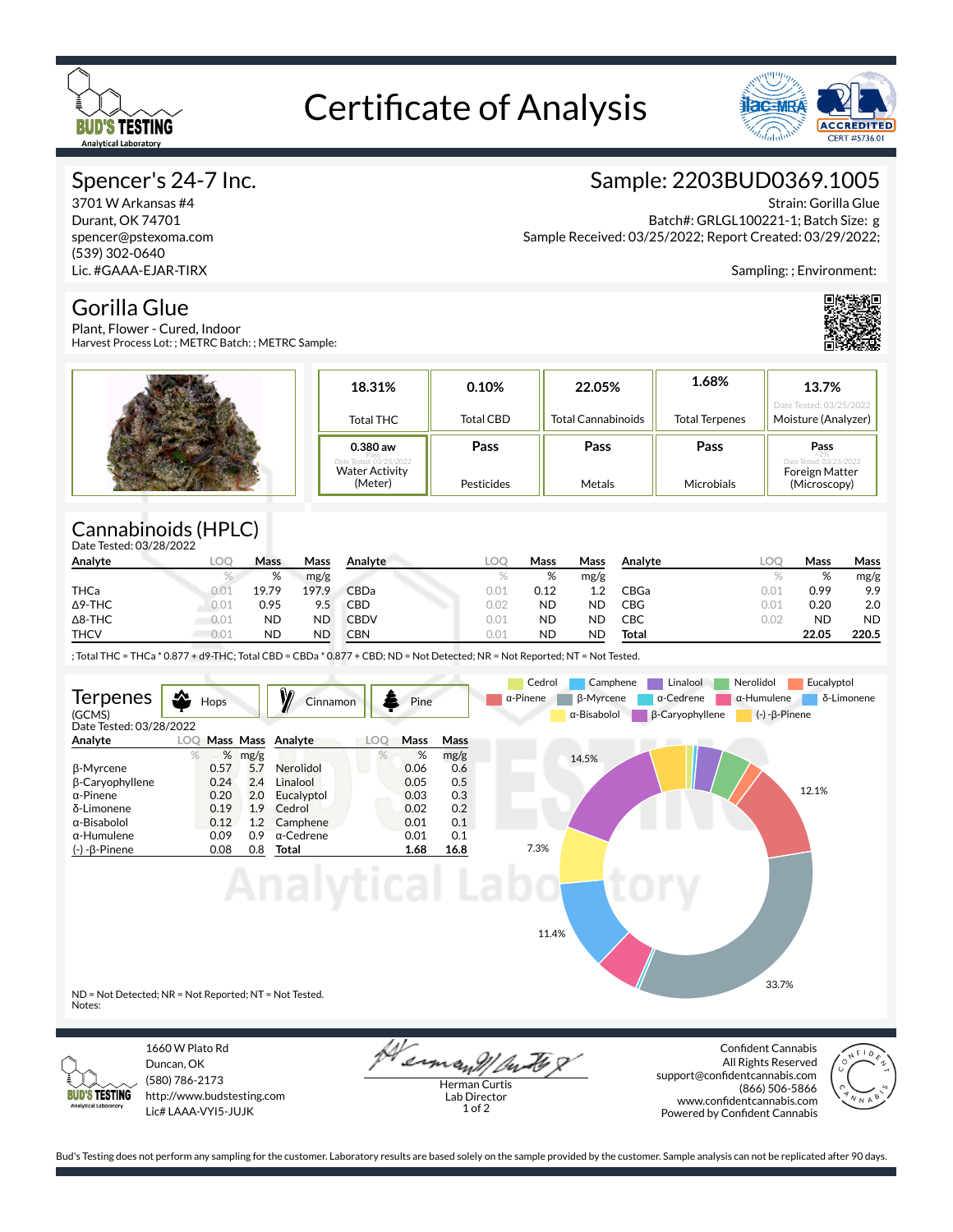

# Certificate of Analysis



### Spencer's 24-7 Inc.

3701 W Arkansas #4 Durant, OK 74701 spencer@pstexoma.com (539) 302-0640 Lic. #GAAA-EJAR-TIRX

# Sample: 2203BUD0369.1005

Strain: Gorilla Glue

Batch#: GRLGL100221-1; Batch Size: g Sample Received: 03/25/2022; Report Created: 03/29/2022;

Sampling: ; Environment:



Gorilla Glue Plant, Flower - Cured, Indoor Harvest Process Lot: ; METRC Batch: ; METRC Sample:

| 18.31%                                            | 0.10%            | 22.05%                    | 1.68%                 | 13.7%<br>Date Tested: 03/25/2022    |
|---------------------------------------------------|------------------|---------------------------|-----------------------|-------------------------------------|
| Total THC                                         | <b>Total CBD</b> | <b>Total Cannabinoids</b> | <b>Total Terpenes</b> | Moisture (Analyzer)                 |
| $0.380$ aw                                        | Pass             | Pass                      | Pass                  | Pass                                |
| late Tested: 0.3/25/202:<br><b>Water Activity</b> |                  |                           |                       | lested: 03/25/202<br>Foreign Matter |

## Cannabinoids (HPLC)

| Date Tested: 03/28/2022 |      |      |              |  |
|-------------------------|------|------|--------------|--|
| Analvte                 | Mass |      | Mass Analyte |  |
|                         | %    | mg/g |              |  |

| Analyte        | LOC  | Mass      | Mass      | Analyte     | <b>LOC</b> | Mass      | Mass      | Analyte | LOC  | Mass      | Mass      |
|----------------|------|-----------|-----------|-------------|------------|-----------|-----------|---------|------|-----------|-----------|
|                |      | %         | mg/g      |             |            | %         | mg/g      |         |      | %         | mg/g      |
| THCa           | 0.01 | 19.79     | 197.9     | CBDa        | 0.01       | 0.12      | ່າ        | CBGa    | 0.01 | 0.99      | 9.9       |
| $\Delta$ 9-THC | 0.01 | 0.95      | 9.5       | CBD         | 0.02       | <b>ND</b> | <b>ND</b> | CBG     | 0.01 | 0.20      | 2.0       |
| $\Delta$ 8-THC | 0.01 | ND        | ND        | <b>CBDV</b> | 0.01       | <b>ND</b> | <b>ND</b> | CBC     | 0.02 | <b>ND</b> | <b>ND</b> |
| <b>THCV</b>    | 0.01 | <b>ND</b> | <b>ND</b> | CBN         | 0.01       | <b>ND</b> | <b>ND</b> | Total   |      | 22.05     | 220.5     |

; Total THC = THCa \* 0.877 + d9-THC; Total CBD = CBDa \* 0.877 + CBD; ND = Not Detected; NR = Not Reported; NT = Not Tested.





1660 W Plato Rd Duncan, OK (580) 786-2173 http://www.budstesting.com Lic# LAAA-VYI5-JUJK

erman !! Ou

Herman Curtis Lab Director 1 of 2

**Confident Cannabis** All Rights Reserved support@confidentcannabis.com (866) 506-5866 www.confidentcannabis.com Powered by Confident Cannabis



Bud's Testing does not perform any sampling for the customer. Laboratory results are based solely on the sample provided by the customer. Sample analysis can not be replicated after 90 days.